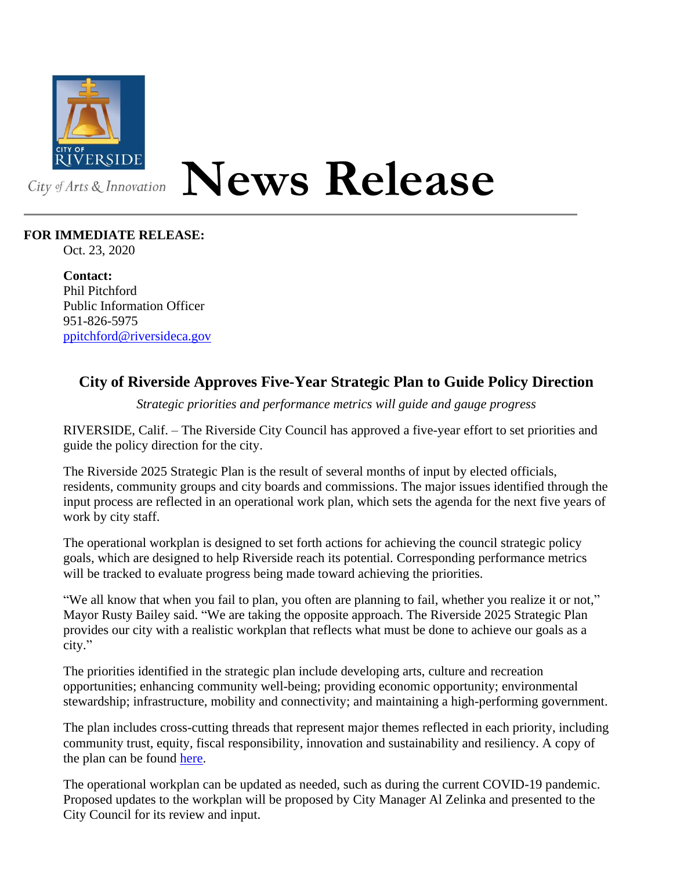

## **News Release**

## **FOR IMMEDIATE RELEASE:**

Oct. 23, 2020

**Contact:** Phil Pitchford Public Information Officer 951-826-5975 [ppitchford@riversideca.gov](mailto:ppitchford@riversideca.gov)

## **City of Riverside Approves Five-Year Strategic Plan to Guide Policy Direction**

*Strategic priorities and performance metrics will guide and gauge progress*

RIVERSIDE, Calif. – The Riverside City Council has approved a five-year effort to set priorities and guide the policy direction for the city.

The Riverside 2025 Strategic Plan is the result of several months of input by elected officials, residents, community groups and city boards and commissions. The major issues identified through the input process are reflected in an operational work plan, which sets the agenda for the next five years of work by city staff.

The operational workplan is designed to set forth actions for achieving the council strategic policy goals, which are designed to help Riverside reach its potential. Corresponding performance metrics will be tracked to evaluate progress being made toward achieving the priorities.

"We all know that when you fail to plan, you often are planning to fail, whether you realize it or not," Mayor Rusty Bailey said. "We are taking the opposite approach. The Riverside 2025 Strategic Plan provides our city with a realistic workplan that reflects what must be done to achieve our goals as a city."

The priorities identified in the strategic plan include developing arts, culture and recreation opportunities; enhancing community well-being; providing economic opportunity; environmental stewardship; infrastructure, mobility and connectivity; and maintaining a high-performing government.

The plan includes cross-cutting threads that represent major themes reflected in each priority, including community trust, equity, fiscal responsibility, innovation and sustainability and resiliency. A copy of the plan can be found [here.](https://riversideca.legistar.com/View.ashx?M=F&ID=8839826&GUID=F0467D42-DF28-4832-A1E2-CA685965AE30)

The operational workplan can be updated as needed, such as during the current COVID-19 pandemic. Proposed updates to the workplan will be proposed by City Manager Al Zelinka and presented to the City Council for its review and input.